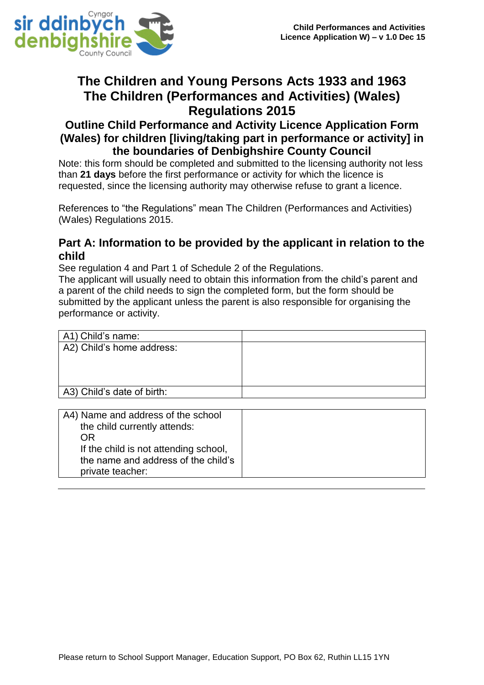

# **The Children and Young Persons Acts 1933 and 1963 The Children (Performances and Activities) (Wales) Regulations 2015**

### **Outline Child Performance and Activity Licence Application Form (Wales) for children [living/taking part in performance or activity] in the boundaries of Denbighshire County Council**

Note: this form should be completed and submitted to the licensing authority not less than **21 days** before the first performance or activity for which the licence is requested, since the licensing authority may otherwise refuse to grant a licence.

References to "the Regulations" mean The Children (Performances and Activities) (Wales) Regulations 2015.

#### **Part A: Information to be provided by the applicant in relation to the child**

See regulation 4 and Part 1 of Schedule 2 of the Regulations.

The applicant will usually need to obtain this information from the child's parent and a parent of the child needs to sign the completed form, but the form should be submitted by the applicant unless the parent is also responsible for organising the performance or activity.

| A1) Child's name:          |  |
|----------------------------|--|
| A2) Child's home address:  |  |
|                            |  |
|                            |  |
|                            |  |
| A3) Child's date of birth: |  |
|                            |  |
|                            |  |

| A4) Name and address of the school    |  |
|---------------------------------------|--|
| the child currently attends:          |  |
| OR                                    |  |
| If the child is not attending school, |  |
| the name and address of the child's   |  |
| private teacher:                      |  |
|                                       |  |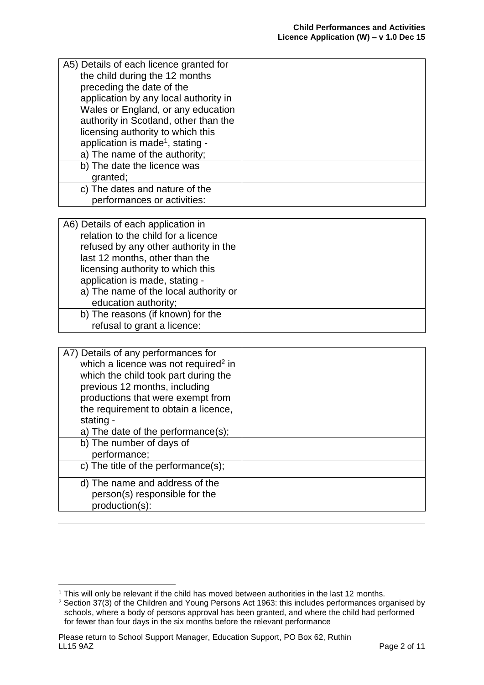| A5) Details of each licence granted for      |  |
|----------------------------------------------|--|
| the child during the 12 months               |  |
| preceding the date of the                    |  |
| application by any local authority in        |  |
| Wales or England, or any education           |  |
| authority in Scotland, other than the        |  |
| licensing authority to which this            |  |
| application is made <sup>1</sup> , stating - |  |
| a) The name of the authority;                |  |
| b) The date the licence was                  |  |
| granted;                                     |  |
| c) The dates and nature of the               |  |
| performances or activities:                  |  |

| A6) Details of each application in    |  |
|---------------------------------------|--|
|                                       |  |
| relation to the child for a licence   |  |
| refused by any other authority in the |  |
| last 12 months, other than the        |  |
| licensing authority to which this     |  |
| application is made, stating -        |  |
| a) The name of the local authority or |  |
| education authority;                  |  |
| b) The reasons (if known) for the     |  |
| refusal to grant a licence:           |  |

| A7) Details of any performances for<br>which a licence was not required <sup>2</sup> in<br>which the child took part during the<br>previous 12 months, including<br>productions that were exempt from<br>the requirement to obtain a licence,<br>stating -<br>a) The date of the performance(s);<br>b) The number of days of |  |
|------------------------------------------------------------------------------------------------------------------------------------------------------------------------------------------------------------------------------------------------------------------------------------------------------------------------------|--|
| performance;                                                                                                                                                                                                                                                                                                                 |  |
| c) The title of the performance(s);                                                                                                                                                                                                                                                                                          |  |
| d) The name and address of the<br>person(s) responsible for the<br>production(s):                                                                                                                                                                                                                                            |  |

**.** 

<sup>&</sup>lt;sup>1</sup> This will only be relevant if the child has moved between authorities in the last 12 months.

<sup>&</sup>lt;sup>2</sup> Section 37(3) of the Children and Young Persons Act 1963: this includes performances organised by schools, where a body of persons approval has been granted, and where the child had performed for fewer than four days in the six months before the relevant performance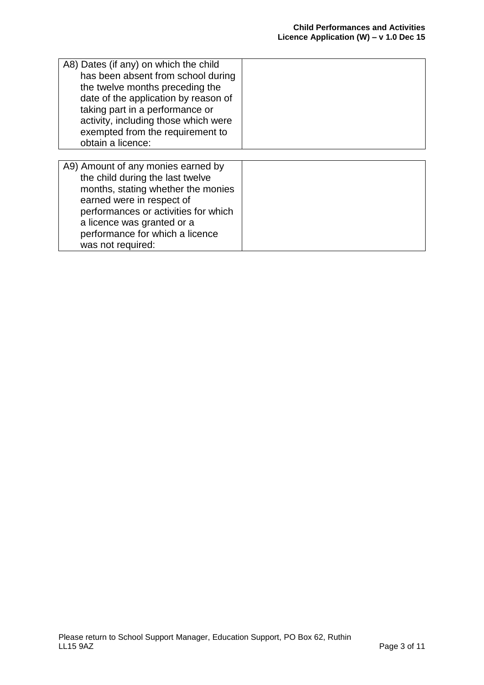| A8) Dates (if any) on which the child<br>has been absent from school during<br>the twelve months preceding the<br>date of the application by reason of<br>taking part in a performance or<br>activity, including those which were<br>exempted from the requirement to<br>obtain a licence: |  |
|--------------------------------------------------------------------------------------------------------------------------------------------------------------------------------------------------------------------------------------------------------------------------------------------|--|
|                                                                                                                                                                                                                                                                                            |  |
| A9) Amount of any monies earned by<br>the child during the last twelve<br>months, stating whether the monies<br>earned were in respect of<br>performances or activities for which<br>a licence was granted or a<br>performance for which a licence<br>was not required:                    |  |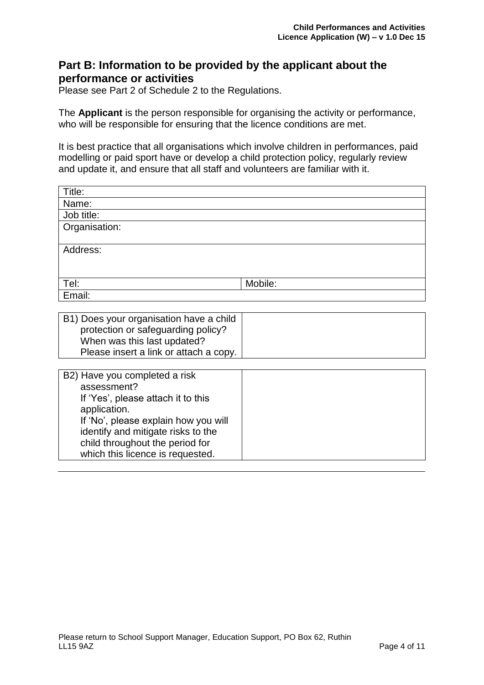#### **Part B: Information to be provided by the applicant about the performance or activities**

Please see Part 2 of Schedule 2 to the Regulations.

The **Applicant** is the person responsible for organising the activity or performance, who will be responsible for ensuring that the licence conditions are met.

It is best practice that all organisations which involve children in performances, paid modelling or paid sport have or develop a child protection policy, regularly review and update it, and ensure that all staff and volunteers are familiar with it.

| Title:        |         |
|---------------|---------|
| Name:         |         |
| Job title:    |         |
| Organisation: |         |
|               |         |
| Address:      |         |
|               |         |
|               |         |
| Tel:          | Mobile: |
| Email:        |         |

| B1) Does your organisation have a child<br>protection or safeguarding policy?<br>When was this last updated?<br>Please insert a link or attach a copy. |  |
|--------------------------------------------------------------------------------------------------------------------------------------------------------|--|
|                                                                                                                                                        |  |
| B2) Have you completed a risk                                                                                                                          |  |

| BZ) Have you completed a risk        |
|--------------------------------------|
| assessment?                          |
| If 'Yes', please attach it to this   |
| application.                         |
| If 'No', please explain how you will |
| identify and mitigate risks to the   |
| child throughout the period for      |
| which this licence is requested.     |
|                                      |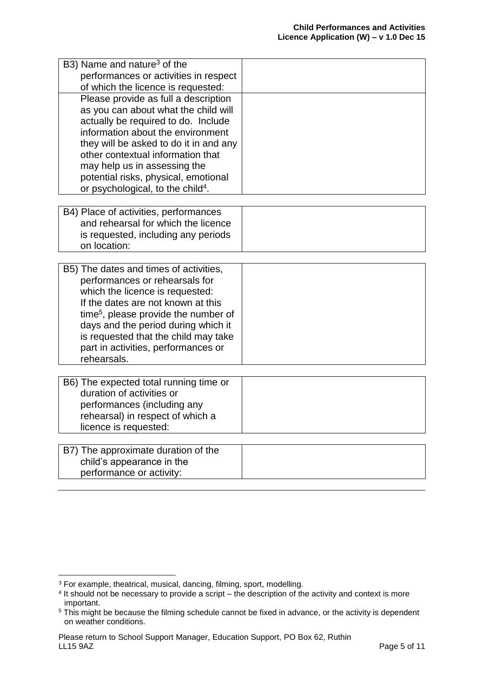| B3) Name and nature <sup>3</sup> of the<br>performances or activities in respect                                                                                                                                                                                                                                                                                                                       |  |
|--------------------------------------------------------------------------------------------------------------------------------------------------------------------------------------------------------------------------------------------------------------------------------------------------------------------------------------------------------------------------------------------------------|--|
| of which the licence is requested:<br>Please provide as full a description<br>as you can about what the child will<br>actually be required to do. Include<br>information about the environment<br>they will be asked to do it in and any<br>other contextual information that<br>may help us in assessing the<br>potential risks, physical, emotional<br>or psychological, to the child <sup>4</sup> . |  |
| B4) Place of activities, performances<br>and rehearsal for which the licence<br>is requested, including any periods<br>on location:                                                                                                                                                                                                                                                                    |  |
| B5) The dates and times of activities,<br>performances or rehearsals for<br>which the licence is requested:<br>If the dates are not known at this<br>time <sup>5</sup> , please provide the number of<br>days and the period during which it<br>is requested that the child may take<br>part in activities, performances or<br>rehearsals.                                                             |  |
| B6) The expected total running time or<br>duration of activities or<br>performances (including any<br>rehearsal) in respect of which a<br>licence is requested:                                                                                                                                                                                                                                        |  |
| B7) The approximate duration of the<br>child's appearance in the<br>performance or activity:                                                                                                                                                                                                                                                                                                           |  |

**.** 

 $^3$  For example, theatrical, musical, dancing, filming, sport, modelling.<br><sup>4</sup> It should not be necessary to provide a script – the description of the activity and context is more important.

<sup>&</sup>lt;sup>5</sup> This might be because the filming schedule cannot be fixed in advance, or the activity is dependent on weather conditions.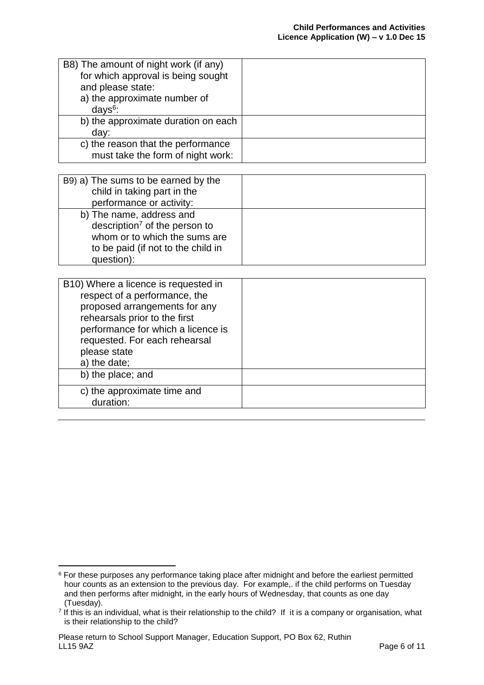| B8) The amount of night work (if any) |  |
|---------------------------------------|--|
| for which approval is being sought    |  |
| and please state:                     |  |
| a) the approximate number of          |  |
| $days6$ :                             |  |
| b) the approximate duration on each   |  |
| day:                                  |  |
| c) the reason that the performance    |  |
| must take the form of night work:     |  |

| B9) a) The sums to be earned by the<br>child in taking part in the |  |
|--------------------------------------------------------------------|--|
| performance or activity:                                           |  |
| b) The name, address and                                           |  |
| description <sup>7</sup> of the person to                          |  |
| whom or to which the sums are                                      |  |
| to be paid (if not to the child in                                 |  |
| question):                                                         |  |

| B10) Where a licence is requested in<br>respect of a performance, the<br>proposed arrangements for any<br>rehearsals prior to the first<br>performance for which a licence is<br>requested. For each rehearsal<br>please state<br>a) the date;<br>b) the place; and |  |
|---------------------------------------------------------------------------------------------------------------------------------------------------------------------------------------------------------------------------------------------------------------------|--|
| c) the approximate time and<br>duration:                                                                                                                                                                                                                            |  |
|                                                                                                                                                                                                                                                                     |  |

<sup>1</sup>  $6$  For these purposes any performance taking place after midnight and before the earliest permitted hour counts as an extension to the previous day. For example,. if the child performs on Tuesday and then performs after midnight, in the early hours of Wednesday, that counts as one day (Tuesday).

<sup>7</sup> If this is an individual, what is their relationship to the child? If it is a company or organisation, what is their relationship to the child?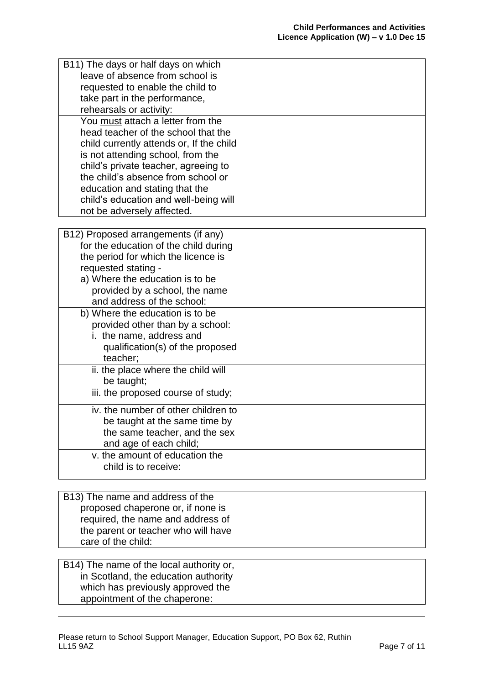| B11) The days or half days on which<br>leave of absence from school is<br>requested to enable the child to<br>take part in the performance,<br>rehearsals or activity:                                                                                                                                                                           |  |
|--------------------------------------------------------------------------------------------------------------------------------------------------------------------------------------------------------------------------------------------------------------------------------------------------------------------------------------------------|--|
| You must attach a letter from the<br>head teacher of the school that the<br>child currently attends or, If the child<br>is not attending school, from the<br>child's private teacher, agreeing to<br>the child's absence from school or<br>education and stating that the<br>child's education and well-being will<br>not be adversely affected. |  |
|                                                                                                                                                                                                                                                                                                                                                  |  |
| B12) Proposed arrangements (if any)<br>for the education of the child during                                                                                                                                                                                                                                                                     |  |
| the period for which the licence is                                                                                                                                                                                                                                                                                                              |  |
| requested stating -                                                                                                                                                                                                                                                                                                                              |  |
| a) Where the education is to be                                                                                                                                                                                                                                                                                                                  |  |
| provided by a school, the name                                                                                                                                                                                                                                                                                                                   |  |
| and address of the school:                                                                                                                                                                                                                                                                                                                       |  |
| b) Where the education is to be                                                                                                                                                                                                                                                                                                                  |  |
| provided other than by a school:<br>i. the name, address and                                                                                                                                                                                                                                                                                     |  |
| qualification(s) of the proposed                                                                                                                                                                                                                                                                                                                 |  |
| teacher;                                                                                                                                                                                                                                                                                                                                         |  |
| ii. the place where the child will                                                                                                                                                                                                                                                                                                               |  |
| be taught;                                                                                                                                                                                                                                                                                                                                       |  |
| iii. the proposed course of study;                                                                                                                                                                                                                                                                                                               |  |
| iv. the number of other children to                                                                                                                                                                                                                                                                                                              |  |
| be taught at the same time by                                                                                                                                                                                                                                                                                                                    |  |
| the same teacher, and the sex                                                                                                                                                                                                                                                                                                                    |  |
| and age of each child;                                                                                                                                                                                                                                                                                                                           |  |
| v. the amount of education the<br>child is to receive:                                                                                                                                                                                                                                                                                           |  |
|                                                                                                                                                                                                                                                                                                                                                  |  |

| B13) The name and address of the    |  |
|-------------------------------------|--|
| proposed chaperone or, if none is   |  |
| required, the name and address of   |  |
| the parent or teacher who will have |  |
| care of the child:                  |  |

| B14) The name of the local authority or, |  |
|------------------------------------------|--|
| in Scotland, the education authority     |  |
| which has previously approved the        |  |
| appointment of the chaperone:            |  |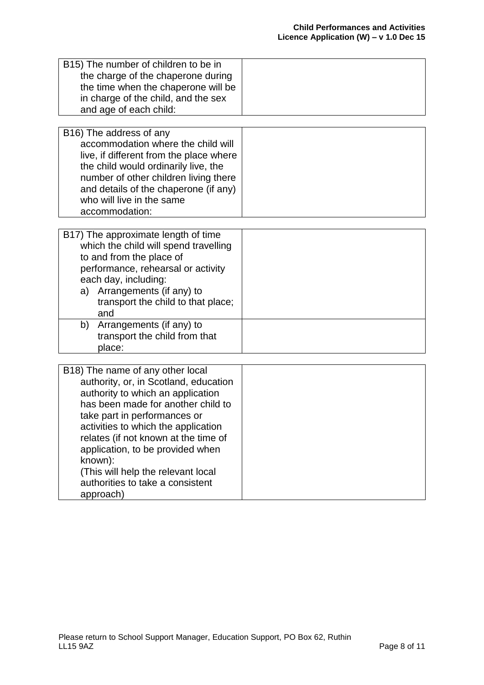| B15) The number of children to be in<br>the charge of the chaperone during<br>the time when the chaperone will be<br>in charge of the child, and the sex<br>and age of each child:                                                                                                                                                                                                                        |  |
|-----------------------------------------------------------------------------------------------------------------------------------------------------------------------------------------------------------------------------------------------------------------------------------------------------------------------------------------------------------------------------------------------------------|--|
| B16) The address of any<br>accommodation where the child will<br>live, if different from the place where<br>the child would ordinarily live, the<br>number of other children living there<br>and details of the chaperone (if any)<br>who will live in the same<br>accommodation:                                                                                                                         |  |
| B17) The approximate length of time<br>which the child will spend travelling<br>to and from the place of<br>performance, rehearsal or activity<br>each day, including:<br>a) Arrangements (if any) to<br>transport the child to that place;<br>and<br>b)<br>Arrangements (if any) to                                                                                                                      |  |
| transport the child from that<br>place:                                                                                                                                                                                                                                                                                                                                                                   |  |
| B18) The name of any other local<br>authority, or, in Scotland, education<br>authority to which an application<br>has been made for another child to<br>take part in performances or<br>activities to which the application<br>relates (if not known at the time of<br>application, to be provided when<br>known):<br>(This will help the relevant local<br>authorities to take a consistent<br>approach) |  |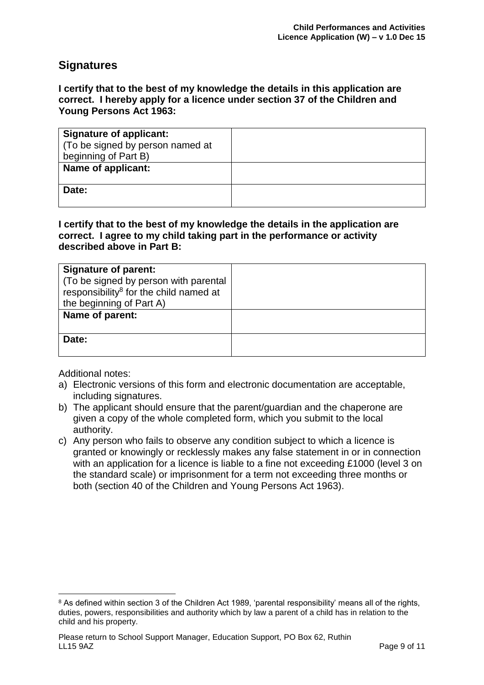#### **Signatures**

**I certify that to the best of my knowledge the details in this application are correct. I hereby apply for a licence under section 37 of the Children and Young Persons Act 1963:**

| <b>Signature of applicant:</b>   |  |
|----------------------------------|--|
| (To be signed by person named at |  |
| beginning of Part B)             |  |
| Name of applicant:               |  |
|                                  |  |
| Date:                            |  |
|                                  |  |

**I certify that to the best of my knowledge the details in the application are correct. I agree to my child taking part in the performance or activity described above in Part B:**

| <b>Signature of parent:</b><br>(To be signed by person with parental<br>responsibility <sup>8</sup> for the child named at<br>the beginning of Part A) |  |
|--------------------------------------------------------------------------------------------------------------------------------------------------------|--|
| Name of parent:                                                                                                                                        |  |
| Date:                                                                                                                                                  |  |

Additional notes:

- a) Electronic versions of this form and electronic documentation are acceptable, including signatures.
- b) The applicant should ensure that the parent/guardian and the chaperone are given a copy of the whole completed form, which you submit to the local authority.
- c) Any person who fails to observe any condition subject to which a licence is granted or knowingly or recklessly makes any false statement in or in connection with an application for a licence is liable to a fine not exceeding £1000 (level 3 on the standard scale) or imprisonment for a term not exceeding three months or both (section 40 of the Children and Young Persons Act 1963).

<sup>1</sup> <sup>8</sup> As defined within section 3 of the Children Act 1989, 'parental responsibility' means all of the rights, duties, powers, responsibilities and authority which by law a parent of a child has in relation to the child and his property.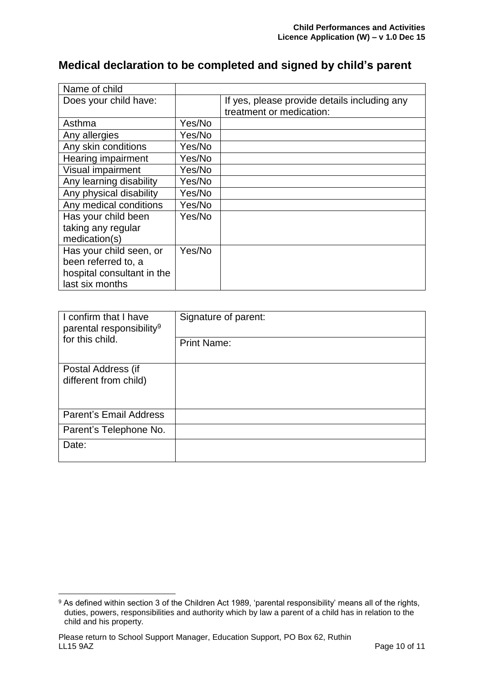# **Medical declaration to be completed and signed by child's parent**

| Name of child              |        |                                              |
|----------------------------|--------|----------------------------------------------|
| Does your child have:      |        | If yes, please provide details including any |
|                            |        | treatment or medication:                     |
| Asthma                     | Yes/No |                                              |
| Any allergies              | Yes/No |                                              |
| Any skin conditions        | Yes/No |                                              |
| Hearing impairment         | Yes/No |                                              |
| Visual impairment          | Yes/No |                                              |
| Any learning disability    | Yes/No |                                              |
| Any physical disability    | Yes/No |                                              |
| Any medical conditions     | Yes/No |                                              |
| Has your child been        | Yes/No |                                              |
| taking any regular         |        |                                              |
| medication(s)              |        |                                              |
| Has your child seen, or    | Yes/No |                                              |
| been referred to, a        |        |                                              |
| hospital consultant in the |        |                                              |
| last six months            |        |                                              |

| I confirm that I have<br>parental responsibility <sup>9</sup> | Signature of parent: |
|---------------------------------------------------------------|----------------------|
| for this child.                                               | <b>Print Name:</b>   |
| Postal Address (if                                            |                      |
| different from child)                                         |                      |
|                                                               |                      |
| <b>Parent's Email Address</b>                                 |                      |
| Parent's Telephone No.                                        |                      |
| Date:                                                         |                      |
|                                                               |                      |

<sup>1</sup> <sup>9</sup> As defined within section 3 of the Children Act 1989, 'parental responsibility' means all of the rights, duties, powers, responsibilities and authority which by law a parent of a child has in relation to the child and his property.